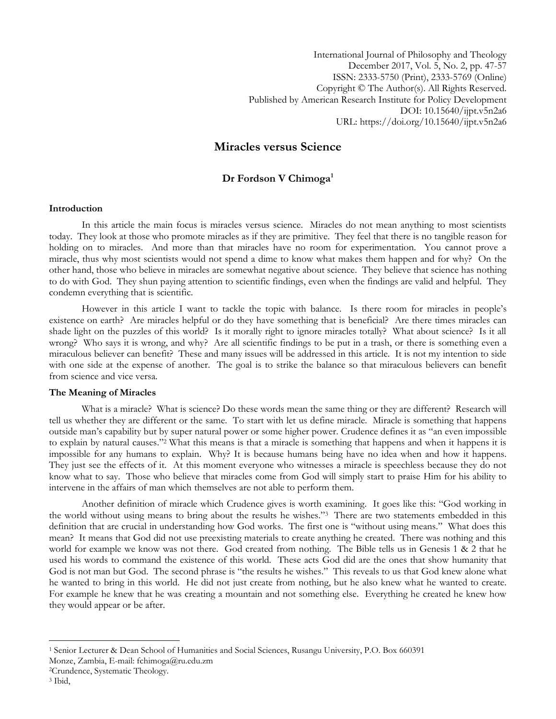International Journal of Philosophy and Theology December 2017, Vol. 5, No. 2, pp. 47-57 ISSN: 2333-5750 (Print), 2333-5769 (Online) Copyright © The Author(s). All Rights Reserved. Published by American Research Institute for Policy Development DOI: 10.15640/ijpt.v5n2a6 URL: https://doi.org/10.15640/ijpt.v5n2a6

# **Miracles versus Science**

## **Dr Fordson V Chimoga<sup>1</sup>**

## **Introduction**

In this article the main focus is miracles versus science. Miracles do not mean anything to most scientists today. They look at those who promote miracles as if they are primitive. They feel that there is no tangible reason for holding on to miracles. And more than that miracles have no room for experimentation. You cannot prove a miracle, thus why most scientists would not spend a dime to know what makes them happen and for why? On the other hand, those who believe in miracles are somewhat negative about science. They believe that science has nothing to do with God. They shun paying attention to scientific findings, even when the findings are valid and helpful. They condemn everything that is scientific.

However in this article I want to tackle the topic with balance. Is there room for miracles in people"s existence on earth? Are miracles helpful or do they have something that is beneficial? Are there times miracles can shade light on the puzzles of this world? Is it morally right to ignore miracles totally? What about science? Is it all wrong? Who says it is wrong, and why? Are all scientific findings to be put in a trash, or there is something even a miraculous believer can benefit? These and many issues will be addressed in this article. It is not my intention to side with one side at the expense of another. The goal is to strike the balance so that miraculous believers can benefit from science and vice versa.

## **The Meaning of Miracles**

What is a miracle? What is science? Do these words mean the same thing or they are different? Research will tell us whether they are different or the same. To start with let us define miracle. Miracle is something that happens outside man"s capability but by super natural power or some higher power. Crudence defines it as "an even impossible to explain by natural causes."<sup>2</sup> What this means is that a miracle is something that happens and when it happens it is impossible for any humans to explain. Why? It is because humans being have no idea when and how it happens. They just see the effects of it. At this moment everyone who witnesses a miracle is speechless because they do not know what to say. Those who believe that miracles come from God will simply start to praise Him for his ability to intervene in the affairs of man which themselves are not able to perform them.

Another definition of miracle which Crudence gives is worth examining. It goes like this: "God working in the world without using means to bring about the results he wishes."<sup>3</sup> There are two statements embedded in this definition that are crucial in understanding how God works. The first one is "without using means." What does this mean? It means that God did not use preexisting materials to create anything he created. There was nothing and this world for example we know was not there. God created from nothing. The Bible tells us in Genesis 1 & 2 that he used his words to command the existence of this world. These acts God did are the ones that show humanity that God is not man but God. The second phrase is "the results he wishes." This reveals to us that God knew alone what he wanted to bring in this world. He did not just create from nothing, but he also knew what he wanted to create. For example he knew that he was creating a mountain and not something else. Everything he created he knew how they would appear or be after.

<sup>1</sup> Senior Lecturer & Dean School of Humanities and Social Sciences, Rusangu University, P.O. Box 660391

Monze, Zambia, E-mail: fchimoga@ru.edu.zm

<sup>2</sup>Crundence, Systematic Theology.

<sup>3</sup> Ibid,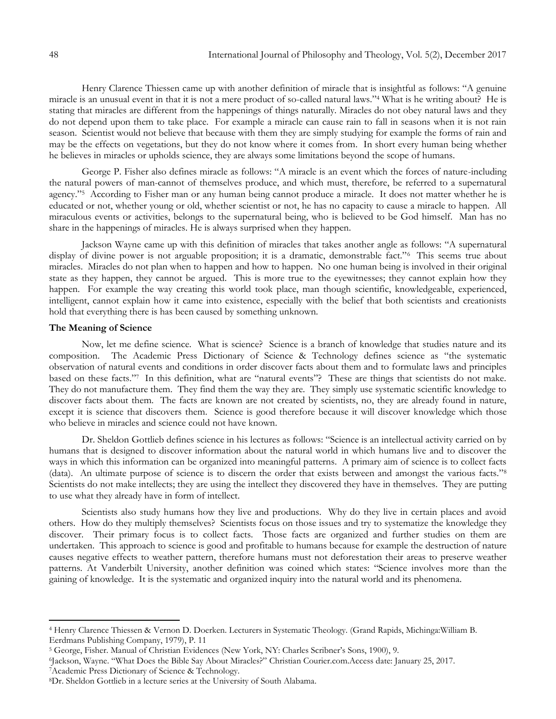Henry Clarence Thiessen came up with another definition of miracle that is insightful as follows: "A genuine miracle is an unusual event in that it is not a mere product of so-called natural laws."<sup>4</sup> What is he writing about? He is stating that miracles are different from the happenings of things naturally. Miracles do not obey natural laws and they do not depend upon them to take place. For example a miracle can cause rain to fall in seasons when it is not rain season. Scientist would not believe that because with them they are simply studying for example the forms of rain and may be the effects on vegetations, but they do not know where it comes from. In short every human being whether he believes in miracles or upholds science, they are always some limitations beyond the scope of humans.

George P. Fisher also defines miracle as follows: "A miracle is an event which the forces of nature-including the natural powers of man-cannot of themselves produce, and which must, therefore, be referred to a supernatural agency."<sup>5</sup> According to Fisher man or any human being cannot produce a miracle. It does not matter whether he is educated or not, whether young or old, whether scientist or not, he has no capacity to cause a miracle to happen. All miraculous events or activities, belongs to the supernatural being, who is believed to be God himself. Man has no share in the happenings of miracles. He is always surprised when they happen.

Jackson Wayne came up with this definition of miracles that takes another angle as follows: "A supernatural display of divine power is not arguable proposition; it is a dramatic, demonstrable fact."<sup>6</sup> This seems true about miracles. Miracles do not plan when to happen and how to happen. No one human being is involved in their original state as they happen, they cannot be argued. This is more true to the eyewitnesses; they cannot explain how they happen. For example the way creating this world took place, man though scientific, knowledgeable, experienced, intelligent, cannot explain how it came into existence, especially with the belief that both scientists and creationists hold that everything there is has been caused by something unknown.

#### **The Meaning of Science**

Now, let me define science. What is science? Science is a branch of knowledge that studies nature and its composition. The Academic Press Dictionary of Science & Technology defines science as "the systematic observation of natural events and conditions in order discover facts about them and to formulate laws and principles based on these facts."<sup>7</sup> In this definition, what are "natural events"? These are things that scientists do not make. They do not manufacture them. They find them the way they are. They simply use systematic scientific knowledge to discover facts about them. The facts are known are not created by scientists, no, they are already found in nature, except it is science that discovers them. Science is good therefore because it will discover knowledge which those who believe in miracles and science could not have known.

Dr. Sheldon Gottlieb defines science in his lectures as follows: "Science is an intellectual activity carried on by humans that is designed to discover information about the natural world in which humans live and to discover the ways in which this information can be organized into meaningful patterns. A primary aim of science is to collect facts (data). An ultimate purpose of science is to discern the order that exists between and amongst the various facts."<sup>8</sup> Scientists do not make intellects; they are using the intellect they discovered they have in themselves. They are putting to use what they already have in form of intellect.

Scientists also study humans how they live and productions. Why do they live in certain places and avoid others. How do they multiply themselves? Scientists focus on those issues and try to systematize the knowledge they discover. Their primary focus is to collect facts. Those facts are organized and further studies on them are undertaken. This approach to science is good and profitable to humans because for example the destruction of nature causes negative effects to weather pattern, therefore humans must not deforestation their areas to preserve weather patterns. At Vanderbilt University, another definition was coined which states: "Science involves more than the gaining of knowledge. It is the systematic and organized inquiry into the natural world and its phenomena.

<sup>7</sup>Academic Press Dictionary of Science & Technology.

 $\overline{\phantom{a}}$ 

<sup>4</sup> Henry Clarence Thiessen & Vernon D. Doerken. Lecturers in Systematic Theology. (Grand Rapids, Michinga:William B. Eerdmans Publishing Company, 1979), P. 11

<sup>5</sup> George, Fisher. Manual of Christian Evidences (New York, NY: Charles Scribner"s Sons, 1900), 9.

<sup>6</sup> Jackson, Wayne. "What Does the Bible Say About Miracles?" Christian Courier.com.Access date: January 25, 2017.

<sup>8</sup>Dr. Sheldon Gottlieb in a lecture series at the University of South Alabama.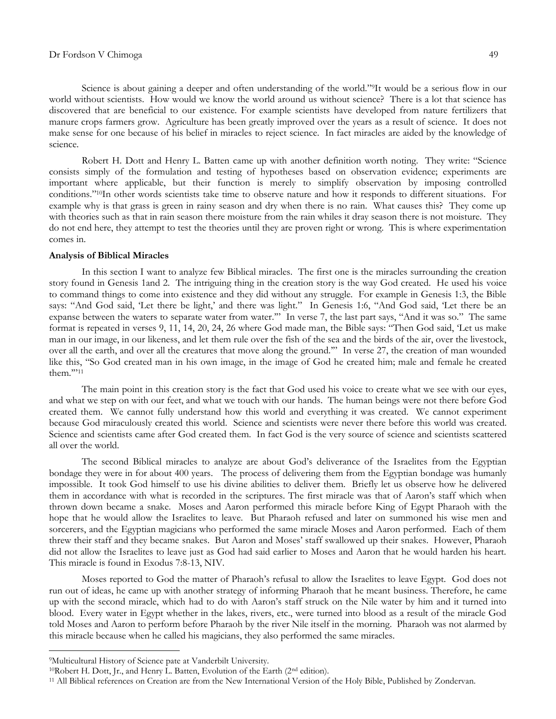#### Dr Fordson V Chimoga 49

Science is about gaining a deeper and often understanding of the world."9It would be a serious flow in our world without scientists. How would we know the world around us without science? There is a lot that science has discovered that are beneficial to our existence. For example scientists have developed from nature fertilizers that manure crops farmers grow. Agriculture has been greatly improved over the years as a result of science. It does not make sense for one because of his belief in miracles to reject science. In fact miracles are aided by the knowledge of science.

Robert H. Dott and Henry L. Batten came up with another definition worth noting. They write: "Science consists simply of the formulation and testing of hypotheses based on observation evidence; experiments are important where applicable, but their function is merely to simplify observation by imposing controlled conditions."10In other words scientists take time to observe nature and how it responds to different situations. For example why is that grass is green in rainy season and dry when there is no rain. What causes this? They come up with theories such as that in rain season there moisture from the rain whiles it dray season there is not moisture. They do not end here, they attempt to test the theories until they are proven right or wrong. This is where experimentation comes in.

#### **Analysis of Biblical Miracles**

In this section I want to analyze few Biblical miracles. The first one is the miracles surrounding the creation story found in Genesis 1and 2. The intriguing thing in the creation story is the way God created. He used his voice to command things to come into existence and they did without any struggle. For example in Genesis 1:3, the Bible says: "And God said, 'Let there be light,' and there was light." In Genesis 1:6, "And God said, 'Let there be an expanse between the waters to separate water from water."" In verse 7, the last part says, "And it was so." The same format is repeated in verses 9, 11, 14, 20, 24, 26 where God made man, the Bible says: "Then God said, "Let us make man in our image, in our likeness, and let them rule over the fish of the sea and the birds of the air, over the livestock, over all the earth, and over all the creatures that move along the ground."" In verse 27, the creation of man wounded like this, "So God created man in his own image, in the image of God he created him; male and female he created them.""<sup>11</sup>

The main point in this creation story is the fact that God used his voice to create what we see with our eyes, and what we step on with our feet, and what we touch with our hands. The human beings were not there before God created them. We cannot fully understand how this world and everything it was created. We cannot experiment because God miraculously created this world. Science and scientists were never there before this world was created. Science and scientists came after God created them. In fact God is the very source of science and scientists scattered all over the world.

The second Biblical miracles to analyze are about God"s deliverance of the Israelites from the Egyptian bondage they were in for about 400 years. The process of delivering them from the Egyptian bondage was humanly impossible. It took God himself to use his divine abilities to deliver them. Briefly let us observe how he delivered them in accordance with what is recorded in the scriptures. The first miracle was that of Aaron"s staff which when thrown down became a snake. Moses and Aaron performed this miracle before King of Egypt Pharaoh with the hope that he would allow the Israelites to leave. But Pharaoh refused and later on summoned his wise men and sorcerers, and the Egyptian magicians who performed the same miracle Moses and Aaron performed. Each of them threw their staff and they became snakes. But Aaron and Moses" staff swallowed up their snakes. However, Pharaoh did not allow the Israelites to leave just as God had said earlier to Moses and Aaron that he would harden his heart. This miracle is found in Exodus 7:8-13, NIV.

Moses reported to God the matter of Pharaoh"s refusal to allow the Israelites to leave Egypt. God does not run out of ideas, he came up with another strategy of informing Pharaoh that he meant business. Therefore, he came up with the second miracle, which had to do with Aaron"s staff struck on the Nile water by him and it turned into blood. Every water in Egypt whether in the lakes, rivers, etc., were turned into blood as a result of the miracle God told Moses and Aaron to perform before Pharaoh by the river Nile itself in the morning. Pharaoh was not alarmed by this miracle because when he called his magicians, they also performed the same miracles.

<sup>9</sup>Multicultural History of Science pate at Vanderbilt University.

<sup>10</sup>Robert H. Dott, Jr., and Henry L. Batten, Evolution of the Earth (2nd edition).

<sup>11</sup> All Biblical references on Creation are from the New International Version of the Holy Bible, Published by Zondervan.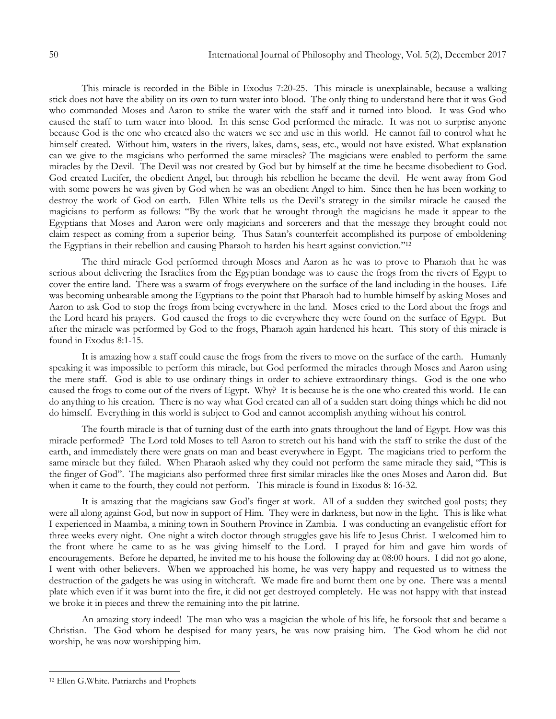This miracle is recorded in the Bible in Exodus 7:20-25. This miracle is unexplainable, because a walking stick does not have the ability on its own to turn water into blood. The only thing to understand here that it was God who commanded Moses and Aaron to strike the water with the staff and it turned into blood. It was God who caused the staff to turn water into blood. In this sense God performed the miracle. It was not to surprise anyone because God is the one who created also the waters we see and use in this world. He cannot fail to control what he himself created. Without him, waters in the rivers, lakes, dams, seas, etc., would not have existed. What explanation can we give to the magicians who performed the same miracles? The magicians were enabled to perform the same miracles by the Devil. The Devil was not created by God but by himself at the time he became disobedient to God. God created Lucifer, the obedient Angel, but through his rebellion he became the devil. He went away from God with some powers he was given by God when he was an obedient Angel to him. Since then he has been working to destroy the work of God on earth. Ellen White tells us the Devil"s strategy in the similar miracle he caused the magicians to perform as follows: "By the work that he wrought through the magicians he made it appear to the Egyptians that Moses and Aaron were only magicians and sorcerers and that the message they brought could not claim respect as coming from a superior being. Thus Satan"s counterfeit accomplished its purpose of emboldening the Egyptians in their rebellion and causing Pharaoh to harden his heart against conviction."<sup>12</sup>

The third miracle God performed through Moses and Aaron as he was to prove to Pharaoh that he was serious about delivering the Israelites from the Egyptian bondage was to cause the frogs from the rivers of Egypt to cover the entire land. There was a swarm of frogs everywhere on the surface of the land including in the houses. Life was becoming unbearable among the Egyptians to the point that Pharaoh had to humble himself by asking Moses and Aaron to ask God to stop the frogs from being everywhere in the land. Moses cried to the Lord about the frogs and the Lord heard his prayers. God caused the frogs to die everywhere they were found on the surface of Egypt. But after the miracle was performed by God to the frogs, Pharaoh again hardened his heart. This story of this miracle is found in Exodus 8:1-15.

It is amazing how a staff could cause the frogs from the rivers to move on the surface of the earth. Humanly speaking it was impossible to perform this miracle, but God performed the miracles through Moses and Aaron using the mere staff. God is able to use ordinary things in order to achieve extraordinary things. God is the one who caused the frogs to come out of the rivers of Egypt. Why? It is because he is the one who created this world. He can do anything to his creation. There is no way what God created can all of a sudden start doing things which he did not do himself. Everything in this world is subject to God and cannot accomplish anything without his control.

The fourth miracle is that of turning dust of the earth into gnats throughout the land of Egypt. How was this miracle performed? The Lord told Moses to tell Aaron to stretch out his hand with the staff to strike the dust of the earth, and immediately there were gnats on man and beast everywhere in Egypt. The magicians tried to perform the same miracle but they failed. When Pharaoh asked why they could not perform the same miracle they said, "This is the finger of God". The magicians also performed three first similar miracles like the ones Moses and Aaron did. But when it came to the fourth, they could not perform. This miracle is found in Exodus 8: 16-32.

It is amazing that the magicians saw God's finger at work. All of a sudden they switched goal posts; they were all along against God, but now in support of Him. They were in darkness, but now in the light. This is like what I experienced in Maamba, a mining town in Southern Province in Zambia. I was conducting an evangelistic effort for three weeks every night. One night a witch doctor through struggles gave his life to Jesus Christ. I welcomed him to the front where he came to as he was giving himself to the Lord. I prayed for him and gave him words of encouragements. Before he departed, he invited me to his house the following day at 08:00 hours. I did not go alone, I went with other believers. When we approached his home, he was very happy and requested us to witness the destruction of the gadgets he was using in witchcraft. We made fire and burnt them one by one. There was a mental plate which even if it was burnt into the fire, it did not get destroyed completely. He was not happy with that instead we broke it in pieces and threw the remaining into the pit latrine.

An amazing story indeed! The man who was a magician the whole of his life, he forsook that and became a Christian. The God whom he despised for many years, he was now praising him. The God whom he did not worship, he was now worshipping him.

 $\overline{a}$ 

<sup>12</sup> Ellen G.White. Patriarchs and Prophets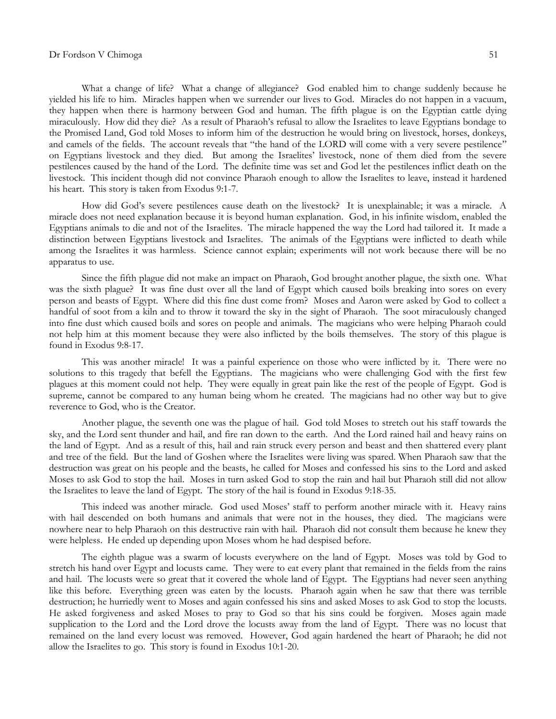What a change of life? What a change of allegiance? God enabled him to change suddenly because he yielded his life to him. Miracles happen when we surrender our lives to God. Miracles do not happen in a vacuum, they happen when there is harmony between God and human. The fifth plague is on the Egyptian cattle dying miraculously. How did they die? As a result of Pharaoh"s refusal to allow the Israelites to leave Egyptians bondage to the Promised Land, God told Moses to inform him of the destruction he would bring on livestock, horses, donkeys, and camels of the fields. The account reveals that "the hand of the LORD will come with a very severe pestilence" on Egyptians livestock and they died. But among the Israelites" livestock, none of them died from the severe pestilences caused by the hand of the Lord. The definite time was set and God let the pestilences inflict death on the livestock. This incident though did not convince Pharaoh enough to allow the Israelites to leave, instead it hardened his heart. This story is taken from Exodus 9:1-7.

How did God"s severe pestilences cause death on the livestock? It is unexplainable; it was a miracle. A miracle does not need explanation because it is beyond human explanation. God, in his infinite wisdom, enabled the Egyptians animals to die and not of the Israelites. The miracle happened the way the Lord had tailored it. It made a distinction between Egyptians livestock and Israelites. The animals of the Egyptians were inflicted to death while among the Israelites it was harmless. Science cannot explain; experiments will not work because there will be no apparatus to use.

Since the fifth plague did not make an impact on Pharaoh, God brought another plague, the sixth one. What was the sixth plague? It was fine dust over all the land of Egypt which caused boils breaking into sores on every person and beasts of Egypt. Where did this fine dust come from? Moses and Aaron were asked by God to collect a handful of soot from a kiln and to throw it toward the sky in the sight of Pharaoh. The soot miraculously changed into fine dust which caused boils and sores on people and animals. The magicians who were helping Pharaoh could not help him at this moment because they were also inflicted by the boils themselves. The story of this plague is found in Exodus 9:8-17.

This was another miracle! It was a painful experience on those who were inflicted by it. There were no solutions to this tragedy that befell the Egyptians. The magicians who were challenging God with the first few plagues at this moment could not help. They were equally in great pain like the rest of the people of Egypt. God is supreme, cannot be compared to any human being whom he created. The magicians had no other way but to give reverence to God, who is the Creator.

Another plague, the seventh one was the plague of hail. God told Moses to stretch out his staff towards the sky, and the Lord sent thunder and hail, and fire ran down to the earth. And the Lord rained hail and heavy rains on the land of Egypt. And as a result of this, hail and rain struck every person and beast and then shattered every plant and tree of the field. But the land of Goshen where the Israelites were living was spared. When Pharaoh saw that the destruction was great on his people and the beasts, he called for Moses and confessed his sins to the Lord and asked Moses to ask God to stop the hail. Moses in turn asked God to stop the rain and hail but Pharaoh still did not allow the Israelites to leave the land of Egypt. The story of the hail is found in Exodus 9:18-35.

This indeed was another miracle. God used Moses" staff to perform another miracle with it. Heavy rains with hail descended on both humans and animals that were not in the houses, they died. The magicians were nowhere near to help Pharaoh on this destructive rain with hail. Pharaoh did not consult them because he knew they were helpless. He ended up depending upon Moses whom he had despised before.

The eighth plague was a swarm of locusts everywhere on the land of Egypt. Moses was told by God to stretch his hand over Egypt and locusts came. They were to eat every plant that remained in the fields from the rains and hail. The locusts were so great that it covered the whole land of Egypt. The Egyptians had never seen anything like this before. Everything green was eaten by the locusts. Pharaoh again when he saw that there was terrible destruction; he hurriedly went to Moses and again confessed his sins and asked Moses to ask God to stop the locusts. He asked forgiveness and asked Moses to pray to God so that his sins could be forgiven. Moses again made supplication to the Lord and the Lord drove the locusts away from the land of Egypt. There was no locust that remained on the land every locust was removed. However, God again hardened the heart of Pharaoh; he did not allow the Israelites to go. This story is found in Exodus 10:1-20.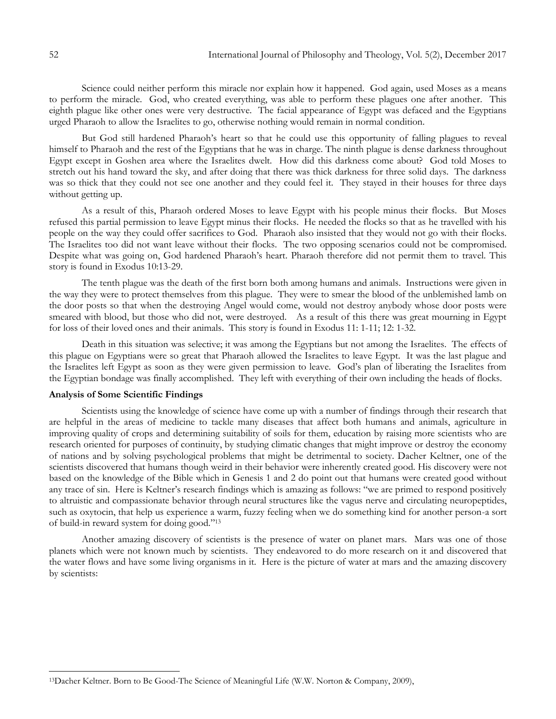Science could neither perform this miracle nor explain how it happened. God again, used Moses as a means to perform the miracle. God, who created everything, was able to perform these plagues one after another. This eighth plague like other ones were very destructive. The facial appearance of Egypt was defaced and the Egyptians urged Pharaoh to allow the Israelites to go, otherwise nothing would remain in normal condition.

But God still hardened Pharaoh"s heart so that he could use this opportunity of falling plagues to reveal himself to Pharaoh and the rest of the Egyptians that he was in charge. The ninth plague is dense darkness throughout Egypt except in Goshen area where the Israelites dwelt. How did this darkness come about? God told Moses to stretch out his hand toward the sky, and after doing that there was thick darkness for three solid days. The darkness was so thick that they could not see one another and they could feel it. They stayed in their houses for three days without getting up.

As a result of this, Pharaoh ordered Moses to leave Egypt with his people minus their flocks. But Moses refused this partial permission to leave Egypt minus their flocks. He needed the flocks so that as he travelled with his people on the way they could offer sacrifices to God. Pharaoh also insisted that they would not go with their flocks. The Israelites too did not want leave without their flocks. The two opposing scenarios could not be compromised. Despite what was going on, God hardened Pharaoh"s heart. Pharaoh therefore did not permit them to travel. This story is found in Exodus 10:13-29.

The tenth plague was the death of the first born both among humans and animals. Instructions were given in the way they were to protect themselves from this plague. They were to smear the blood of the unblemished lamb on the door posts so that when the destroying Angel would come, would not destroy anybody whose door posts were smeared with blood, but those who did not, were destroyed. As a result of this there was great mourning in Egypt for loss of their loved ones and their animals. This story is found in Exodus 11: 1-11; 12: 1-32.

Death in this situation was selective; it was among the Egyptians but not among the Israelites. The effects of this plague on Egyptians were so great that Pharaoh allowed the Israelites to leave Egypt. It was the last plague and the Israelites left Egypt as soon as they were given permission to leave. God"s plan of liberating the Israelites from the Egyptian bondage was finally accomplished. They left with everything of their own including the heads of flocks.

## **Analysis of Some Scientific Findings**

Scientists using the knowledge of science have come up with a number of findings through their research that are helpful in the areas of medicine to tackle many diseases that affect both humans and animals, agriculture in improving quality of crops and determining suitability of soils for them, education by raising more scientists who are research oriented for purposes of continuity, by studying climatic changes that might improve or destroy the economy of nations and by solving psychological problems that might be detrimental to society. Dacher Keltner, one of the scientists discovered that humans though weird in their behavior were inherently created good. His discovery were not based on the knowledge of the Bible which in Genesis 1 and 2 do point out that humans were created good without any trace of sin. Here is Keltner's research findings which is amazing as follows: "we are primed to respond positively to altruistic and compassionate behavior through neural structures like the vagus nerve and circulating neuropeptides, such as oxytocin, that help us experience a warm, fuzzy feeling when we do something kind for another person-a sort of build-in reward system for doing good."<sup>13</sup>

Another amazing discovery of scientists is the presence of water on planet mars. Mars was one of those planets which were not known much by scientists. They endeavored to do more research on it and discovered that the water flows and have some living organisms in it. Here is the picture of water at mars and the amazing discovery by scientists:

 $\overline{a}$ 

<sup>13</sup>Dacher Keltner. Born to Be Good-The Science of Meaningful Life (W.W. Norton & Company, 2009),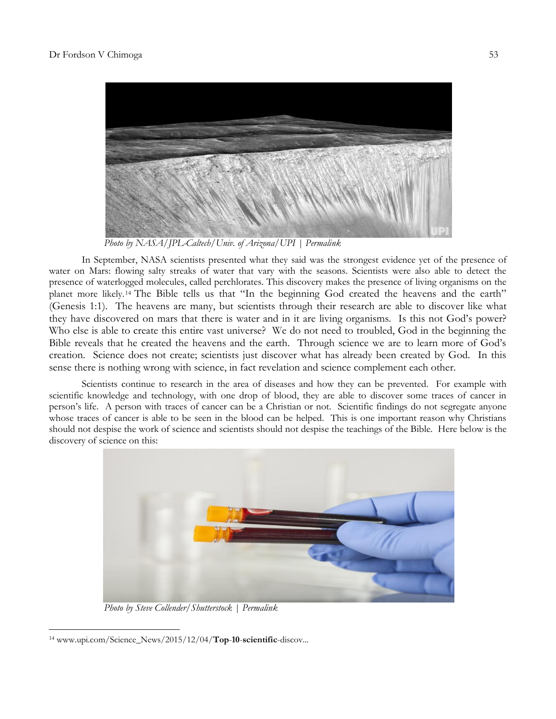

 *Photo by NASA/JPL-Caltech/Univ. of Arizona/UPI | [Permalink](http://www.upi.com/News_Photos/view/upi_com/2baa917904485a02fa2d2d050c1c92e6/Homo-nalendi-fossils/)*

In September, NASA scientists presented what they said was the [strongest evidence yet](http://www.upi.com/Science_News/2015/09/28/Mars-mystery-solved-Free-flowing-water-discovered-on-Red-Planet-NASA-says/6501443445801/) of the presence of water on Mars: flowing salty streaks of water that vary with the seasons. Scientists were also able to detect the presence of waterlogged molecules, called perchlorates. This discovery makes the presence of living organisms on the planet more likely. <sup>14</sup> The Bible tells us that "In the beginning God created the heavens and the earth" (Genesis 1:1). The heavens are many, but scientists through their research are able to discover like what they have discovered on mars that there is water and in it are living organisms. Is this not God's power? Who else is able to create this entire vast universe? We do not need to troubled, God in the beginning the Bible reveals that he created the heavens and the earth. Through science we are to learn more of God"s creation. Science does not create; scientists just discover what has already been created by God. In this sense there is nothing wrong with science, in fact revelation and science complement each other.

Scientists continue to research in the area of diseases and how they can be prevented. For example with scientific knowledge and technology, with one drop of blood, they are able to discover some traces of cancer in person"s life. A person with traces of cancer can be a Christian or not. Scientific findings do not segregate anyone whose traces of cancer is able to be seen in the blood can be helped. This is one important reason why Christians should not despise the work of science and scientists should not despise the teachings of the Bible. Here below is the discovery of science on this:



 *Photo by Steve Collender/Shutterstock | [Permalink](http://www.upi.com/News_Photos/view/upi_com/2baa917904485a02fa2d2d050c1c92e6/Homo-nalendi-fossils/)*

 $\overline{\phantom{a}}$ <sup>14</sup> www.upi.com/Science\_News/2015/12/04/**Top**-**10**-**scientific**-discov...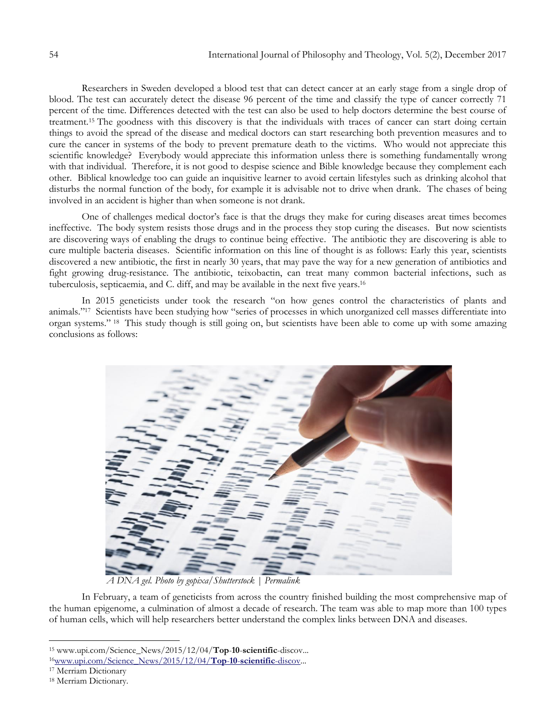Researchers in Sweden [developed a blood test](http://www.upi.com/Health_News/2015/11/12/Blood-test-can-detect-classify-cancer-in-the-body/5391447346361/) that can detect cancer at an early stage from a single drop of blood. The test can accurately detect the disease 96 percent of the time and classify the type of cancer correctly 71 percent of the time. Differences detected with the test can also be used to help doctors determine the best course of treatment.<sup>15</sup> The goodness with this discovery is that the individuals with traces of cancer can start doing certain things to avoid the spread of the disease and medical doctors can start researching both prevention measures and to cure the cancer in systems of the body to prevent premature death to the victims. Who would not appreciate this scientific knowledge? Everybody would appreciate this information unless there is something fundamentally wrong with that individual. Therefore, it is not good to despise science and Bible knowledge because they complement each other. Biblical knowledge too can guide an inquisitive learner to avoid certain lifestyles such as drinking alcohol that disturbs the normal function of the body, for example it is advisable not to drive when drank. The chases of being involved in an accident is higher than when someone is not drank.

One of challenges medical doctor's face is that the drugs they make for curing diseases areat times becomes ineffective. The body system resists those drugs and in the process they stop curing the diseases. But now scientists are discovering ways of enabling the drugs to continue being effective. The antibiotic they are discovering is able to cure multiple bacteria diseases. Scientific information on this line of thought is as follows: Early this year, scientists discovered [a new antibiotic,](http://www.upi.com/Science_News/2015/01/07/Researchers-develop-soil-derived-antibiotic/9461420665310/) the first in nearly 30 years, that may pave the way for a new generation of antibiotics and fight growing drug-resistance. The antibiotic, teixobactin, can treat many common bacterial infections, such as tuberculosis, septicaemia, and C. diff, and may be available in the next five years.<sup>16</sup>

In 2015 geneticists under took the research "on how genes control the characteristics of plants and animals." 17 Scientists have been studying how "series of processes in which unorganized cell masses differentiate into organ systems." <sup>18</sup> This study though is still going on, but scientists have been able to come up with some amazing conclusions as follows:



 *A DNA gel. Photo by gopixa/Shutterstock | [Permalink](http://www.upi.com/News_Photos/view/upi_com/2baa917904485a02fa2d2d050c1c92e6/Homo-nalendi-fossils/)*

In February, a team of geneticists from across the country finished building the most comprehensive map of [the human epigenome,](http://www.upi.com/Science_News/2015/02/18/New-map-of-human-epigenomes-is-most-expansive-ever/4331424268368/) a culmination of almost a decade of research. The team was able to map more than 100 types of human cells, which will help researchers better understand the complex links between DNA and diseases.

<sup>15</sup> www.upi.com/Science\_News/2015/12/04/**Top**-**10**-**scientific**-discov...

<sup>16</sup>[www.upi.com/Science\\_News/2015/12/04/](http://www.upi.com/Science_News/2015/12/04/Top-10-scientific-discov)**Top**-**10**-**scientific**-discov...

<sup>17</sup> Merriam Dictionary

<sup>18</sup> Merriam Dictionary.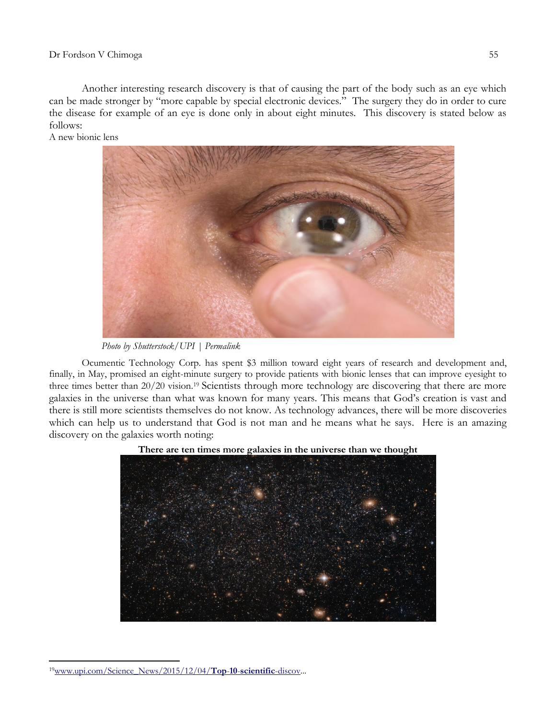Another interesting research discovery is that of causing the part of the body such as an eye which can be made stronger by "more capable by special electronic devices." The surgery they do in order to cure the disease for example of an eye is done only in about eight minutes. This discovery is stated below as follows:

A new bionic lens



 *Photo by Shutterstock/UPI | [Permalink](http://www.upi.com/News_Photos/view/upi_com/2baa917904485a02fa2d2d050c1c92e6/Homo-nalendi-fossils/)*

Ocumentic Technology Corp. has spent \$3 million toward eight years of research and development and, finally, in May, [promised](http://www.medicaldaily.com/bionic-lenses-will-improve-eyesight-3-times-better-2020-vision-seeing-perfect-without-334824) an eight-minute surgery to provide patients with bionic lenses that can improve eyesight to three times better than 20/20 vision.<sup>19</sup> Scientists through more technology are discovering that there are more galaxies in the universe than what was known for many years. This means that God"s creation is vast and there is still more scientists themselves do not know. As technology advances, there will be more discoveries which can help us to understand that God is not man and he means what he says. Here is an amazing discovery on the galaxies worth noting:





 $\overline{\phantom{a}}$ 19[www.upi.com/Science\\_News/2015/12/04/](http://www.upi.com/Science_News/2015/12/04/Top-10-scientific-discov)**Top**-**10**-**scientific**-discov...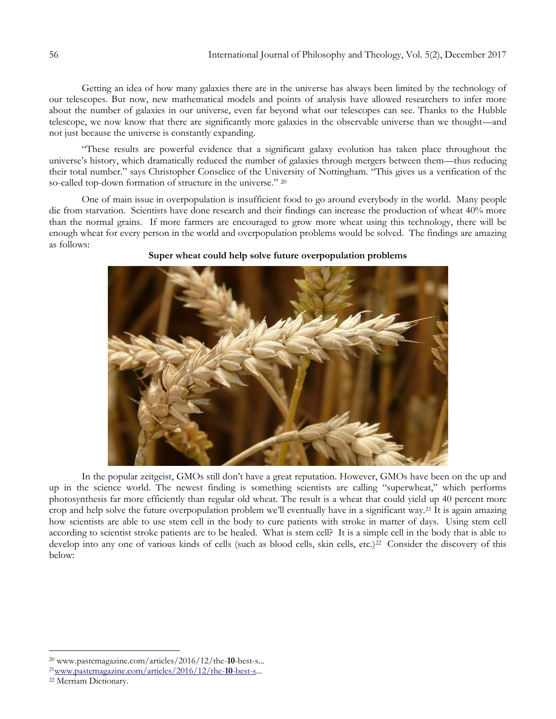Getting an idea of how many galaxies there are in the universe has always been limited by the technology of our telescopes. But now, new mathematical models and points of analysis have allowed researchers to infer more about the number of galaxies in our universe, even far beyond what our telescopes can see. Thanks to the [Hubble](https://www.nasa.gov/feature/goddard/2016/hubble-reveals-observable-universe-contains-10-times-more-galaxies-than-previously-thought) [telescope,](https://www.nasa.gov/feature/goddard/2016/hubble-reveals-observable-universe-contains-10-times-more-galaxies-than-previously-thought) we now know that there are significantly more galaxies in the observable universe than we thought—and not just because the universe is constantly expanding.

"These results are powerful evidence that a significant galaxy evolution has taken place throughout the universe"s history, which dramatically reduced the number of galaxies through mergers between them—thus reducing their total number." says Christopher Conselice of the University of Nottingham. "This gives us a verification of the so-called top-down formation of structure in the universe." 20

One of main issue in overpopulation is insufficient food to go around everybody in the world. Many people die from starvation. Scientists have done research and their findings can increase the production of wheat 40% more than the normal grains. If more farmers are encouraged to grow more wheat using this technology, there will be enough wheat for every person in the world and overpopulation problems would be solved. The findings are amazing as follows:



## **Super wheat could help solve future overpopulation problems**

In the popular zeitgeist, GMOs still don"t have a great reputation. However, GMOs have been on the up and up in the science world. The newest finding is something scientists are calling "superwheat," which performs photosynthesis far more efficiently than regular old wheat. The result is a wheat that could yield up 40 percent more crop and help solve the future overpopulation problem we"ll eventually have in a significant way.<sup>21</sup> It is again amazing how scientists are able to use stem cell in the body to cure patients with stroke in matter of days. Using stem cell according to scientist stroke patients are to be healed. What is stem cell? It is a simple cell in the body that is able to develop into any one of various kinds of cells (such as blood cells, skin cells, etc.)<sup>22</sup> Consider the discovery of this below:

<sup>20</sup> www.pastemagazine.com/articles/2016/12/the-**10**-best-s...

<sup>21</sup>[www.pastemagazine.com/articles/2016/12/the-](http://www.pastemagazine.com/articles/2016/12/the-10-best-s)**10**-best-s...

<sup>22</sup> Merriam Dictionary.